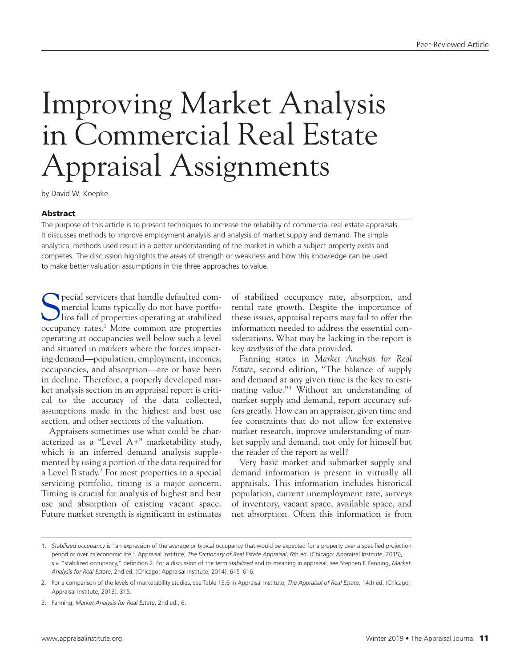# Improving Market Analysis in Commercial Real Estate Appraisal Assignments

by David W. Koepke

## Abstract

The purpose of this article is to present techniques to increase the reliability of commercial real estate appraisals. It discusses methods to improve employment analysis and analysis of market supply and demand. The simple analytical methods used result in a better understanding of the market in which a subject property exists and competes. The discussion highlights the areas of strength or weakness and how this knowledge can be used to make better valuation assumptions in the three approaches to value.

Special servicers that handle defaulted com-<br>mercial loans typically do not have portfo-<br>lios full of properties operating at stabilized mercial loans typically do not have portfolios full of properties operating at stabilized occupancy rates.<sup>1</sup> More common are properties operating at occupancies well below such a level and situated in markets where the forces impacting demand—population, employment, incomes, occupancies, and absorption—are or have been in decline. Therefore, a properly developed market analysis section in an appraisal report is critical to the accuracy of the data collected, assumptions made in the highest and best use section, and other sections of the valuation.

Appraisers sometimes use what could be characterized as a "Level A+" marketability study, which is an inferred demand analysis supplemented by using a portion of the data required for a Level B study.2 For most properties in a special servicing portfolio, timing is a major concern. Timing is crucial for analysis of highest and best use and absorption of existing vacant space. Future market strength is significant in estimates

of stabilized occupancy rate, absorption, and rental rate growth. Despite the importance of these issues, appraisal reports may fail to offer the information needed to address the essential considerations. What may be lacking in the report is key *analysis* of the data provided.

Fanning states in *Market Analysis for Real Estate*, second edition, "The balance of supply and demand at any given time is the key to estimating value."<sup>3</sup> Without an understanding of market supply and demand, report accuracy suffers greatly. How can an appraiser, given time and fee constraints that do not allow for extensive market research, improve understanding of market supply and demand, not only for himself but the reader of the report as well?

Very basic market and submarket supply and demand information is present in virtually all appraisals. This information includes historical population, current unemployment rate, surveys of inventory, vacant space, available space, and net absorption. Often this information is from

<sup>1.</sup> *Stabilized occupancy* is "an expression of the average or typical occupancy that would be expected for a property over a specified projection period or over its economic life." Appraisal Institute, *The Dictionary of Real Estate Appraisal*, 6th ed. (Chicago: Appraisal Institute, 2015), s.v. "stabilized occupancy," definition 2. For a discussion of the term *stabilized* and its meaning in appraisal, see Stephen F. Fanning, *Market Analysis for Real Estate*, 2nd ed. (Chicago: Appraisal Institute, 2014), 615–616.

<sup>2.</sup> For a comparison of the levels of marketability studies, see Table 15.6 in Appraisal Institute, *The Appraisal of Real Estate*, 14th ed. (Chicago: Appraisal Institute, 2013), 315.

<sup>3.</sup> Fanning, *Market Analysis for Real Estate*, 2nd ed., 6.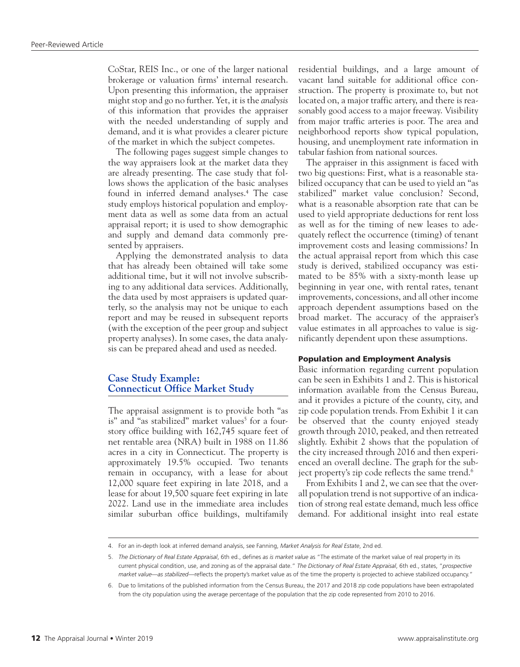CoStar, REIS Inc., or one of the larger national brokerage or valuation firms' internal research. Upon presenting this information, the appraiser might stop and go no further. Yet, it is the *analysis* of this information that provides the appraiser with the needed understanding of supply and demand, and it is what provides a clearer picture of the market in which the subject competes.

The following pages suggest simple changes to the way appraisers look at the market data they are already presenting. The case study that follows shows the application of the basic analyses found in inferred demand analyses.4 The case study employs historical population and employment data as well as some data from an actual appraisal report; it is used to show demographic and supply and demand data commonly presented by appraisers.

Applying the demonstrated analysis to data that has already been obtained will take some additional time, but it will not involve subscribing to any additional data services. Additionally, the data used by most appraisers is updated quarterly, so the analysis may not be unique to each report and may be reused in subsequent reports (with the exception of the peer group and subject property analyses). In some cases, the data analysis can be prepared ahead and used as needed.

## **Case Study Example: Connecticut Office Market Study**

The appraisal assignment is to provide both "as is" and "as stabilized" market values<sup>5</sup> for a fourstory office building with 162,745 square feet of net rentable area (NRA) built in 1988 on 11.86 acres in a city in Connecticut. The property is approximately 19.5% occupied. Two tenants remain in occupancy, with a lease for about 12,000 square feet expiring in late 2018, and a lease for about 19,500 square feet expiring in late 2022. Land use in the immediate area includes similar suburban office buildings, multifamily

residential buildings, and a large amount of vacant land suitable for additional office construction. The property is proximate to, but not located on, a major traffic artery, and there is reasonably good access to a major freeway. Visibility from major traffic arteries is poor. The area and neighborhood reports show typical population, housing, and unemployment rate information in tabular fashion from national sources.

The appraiser in this assignment is faced with two big questions: First, what is a reasonable stabilized occupancy that can be used to yield an "as stabilized" market value conclusion? Second, what is a reasonable absorption rate that can be used to yield appropriate deductions for rent loss as well as for the timing of new leases to adequately reflect the occurrence (timing) of tenant improvement costs and leasing commissions? In the actual appraisal report from which this case study is derived, stabilized occupancy was estimated to be 85% with a sixty-month lease up beginning in year one, with rental rates, tenant improvements, concessions, and all other income approach dependent assumptions based on the broad market. The accuracy of the appraiser's value estimates in all approaches to value is significantly dependent upon these assumptions.

## Population and Employment Analysis

Basic information regarding current population can be seen in Exhibits 1 and 2. This is historical information available from the Census Bureau, and it provides a picture of the county, city, and zip code population trends. From Exhibit 1 it can be observed that the county enjoyed steady growth through 2010, peaked, and then retreated slightly. Exhibit 2 shows that the population of the city increased through 2016 and then experienced an overall decline. The graph for the subject property's zip code reflects the same trend.<sup>6</sup>

From Exhibits 1 and 2, we can see that the overall population trend is not supportive of an indication of strong real estate demand, much less office demand. For additional insight into real estate

<sup>4.</sup> For an in-depth look at inferred demand analysis, see Fanning, *Market Analysis for Real Estate*, 2nd ed.

<sup>5.</sup> *The Dictionary of Real Estate Appraisal*, 6th ed., defines *as is market value* as "The estimate of the market value of real property in its current physical condition, use, and zoning as of the appraisal date." *The Dictionary of Real Estate Appraisal*, 6th ed., states, "*prospective market value*—*as stabilized*—reflects the property's market value as of the time the property is projected to achieve stabilized occupancy."

<sup>6.</sup> Due to limitations of the published information from the Census Bureau, the 2017 and 2018 zip code populations have been extrapolated from the city population using the average percentage of the population that the zip code represented from 2010 to 2016.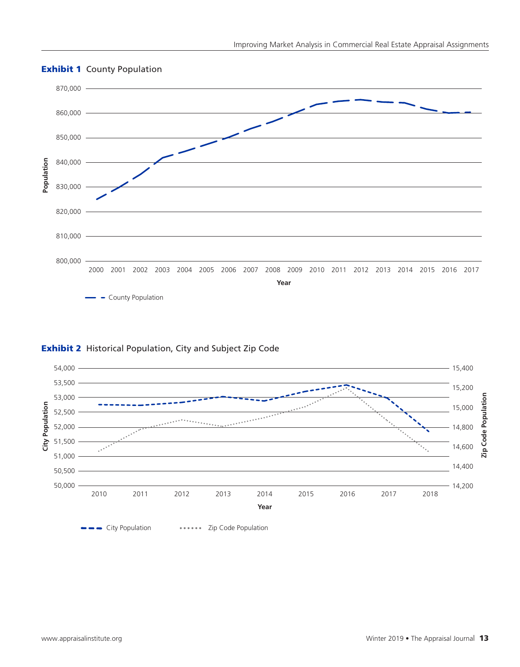

# **Exhibit 1 County Population**



# Exhibit 2 Historical Population, City and Subject Zip Code

**EXECT** City Population **Access City Population**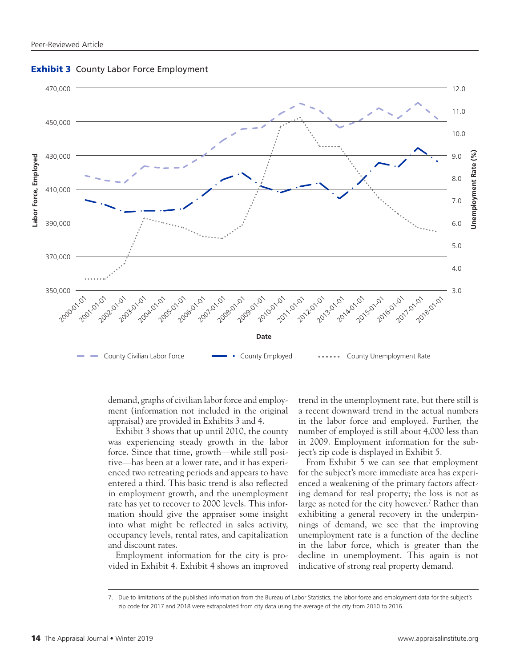

**Exhibit 3** County Labor Force Employment

demand, graphs of civilian labor force and employment (information not included in the original appraisal) are provided in Exhibits 3 and 4.

Exhibit 3 shows that up until 2010, the county was experiencing steady growth in the labor force. Since that time, growth—while still positive—has been at a lower rate, and it has experienced two retreating periods and appears to have entered a third. This basic trend is also reflected in employment growth, and the unemployment rate has yet to recover to 2000 levels. This information should give the appraiser some insight into what might be reflected in sales activity, occupancy levels, rental rates, and capitalization and discount rates.

Employment information for the city is provided in Exhibit 4. Exhibit 4 shows an improved trend in the unemployment rate, but there still is a recent downward trend in the actual numbers in the labor force and employed. Further, the number of employed is still about 4,000 less than in 2009. Employment information for the subject's zip code is displayed in Exhibit 5.

From Exhibit 5 we can see that employment for the subject's more immediate area has experienced a weakening of the primary factors affecting demand for real property; the loss is not as large as noted for the city however.<sup>7</sup> Rather than exhibiting a general recovery in the underpinnings of demand, we see that the improving unemployment rate is a function of the decline in the labor force, which is greater than the decline in unemployment. This again is not indicative of strong real property demand.

<sup>7.</sup> Due to limitations of the published information from the Bureau of Labor Statistics, the labor force and employment data for the subject's zip code for 2017 and 2018 were extrapolated from city data using the average of the city from 2010 to 2016.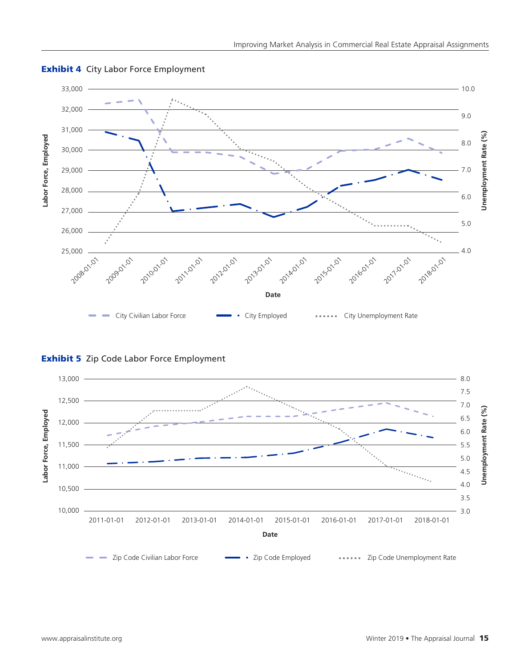

# **Exhibit 4 City Labor Force Employment**

**Exhibit 5** Zip Code Labor Force Employment

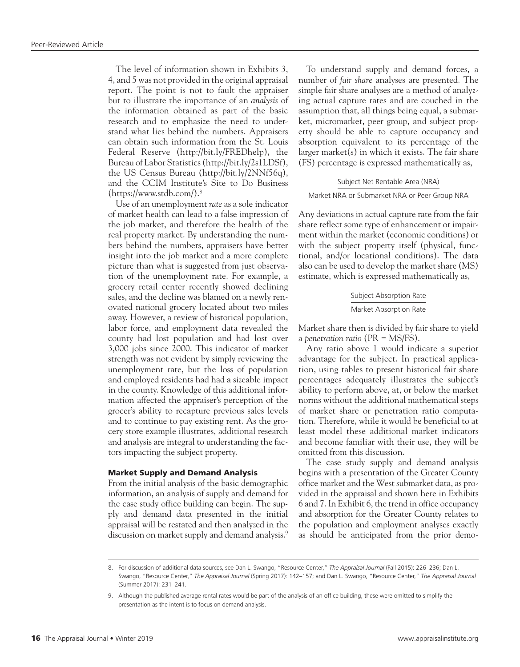The level of information shown in Exhibits 3, 4, and 5 was not provided in the original appraisal report. The point is not to fault the appraiser but to illustrate the importance of an *analysis* of the information obtained as part of the basic research and to emphasize the need to understand what lies behind the numbers. Appraisers can obtain such information from the St. Louis Federal Reserve (<http://bit.ly/FREDhelp>), the Bureau of Labor Statistics (<http://bit.ly/2s1LDSf>), the US Census Bureau (<http://bit.ly/2NNf56q>), and the CCIM Institute's Site to Do Business (https://www.stdb.com/).8

Use of an unemployment *rate* as a sole indicator of market health can lead to a false impression of the job market, and therefore the health of the real property market. By understanding the numbers behind the numbers, appraisers have better insight into the job market and a more complete picture than what is suggested from just observation of the unemployment rate. For example, a grocery retail center recently showed declining sales, and the decline was blamed on a newly renovated national grocery located about two miles away. However, a review of historical population, labor force, and employment data revealed the county had lost population and had lost over 3,000 jobs since 2000. This indicator of market strength was not evident by simply reviewing the unemployment rate, but the loss of population and employed residents had had a sizeable impact in the county. Knowledge of this additional information affected the appraiser's perception of the grocer's ability to recapture previous sales levels and to continue to pay existing rent. As the grocery store example illustrates, additional research and analysis are integral to understanding the factors impacting the subject property.

## Market Supply and Demand Analysis

From the initial analysis of the basic demographic information, an analysis of supply and demand for the case study office building can begin. The supply and demand data presented in the initial appraisal will be restated and then analyzed in the discussion on market supply and demand analysis.<sup>9</sup>

To understand supply and demand forces, a number of *fair share* analyses are presented. The simple fair share analyses are a method of analyzing actual capture rates and are couched in the assumption that, all things being equal, a submarket, micromarket, peer group, and subject property should be able to capture occupancy and absorption equivalent to its percentage of the larger market(s) in which it exists. The fair share (FS) percentage is expressed mathematically as,

#### Subject Net Rentable Area (NRA)

#### Market NRA or Submarket NRA or Peer Group NRA

Any deviations in actual capture rate from the fair share reflect some type of enhancement or impairment within the market (economic conditions) or with the subject property itself (physical, functional, and/or locational conditions). The data also can be used to develop the market share (MS) estimate, which is expressed mathematically as,

## Subject Absorption Rate Market Absorption Rate

Market share then is divided by fair share to yield a *penetration ratio* (PR = MS/FS).

Any ratio above 1 would indicate a superior advantage for the subject. In practical application, using tables to present historical fair share percentages adequately illustrates the subject's ability to perform above, at, or below the market norms without the additional mathematical steps of market share or penetration ratio computation. Therefore, while it would be beneficial to at least model these additional market indicators and become familiar with their use, they will be omitted from this discussion.

The case study supply and demand analysis begins with a presentation of the Greater County office market and the West submarket data, as provided in the appraisal and shown here in Exhibits 6 and 7. In Exhibit 6, the trend in office occupancy and absorption for the Greater County relates to the population and employment analyses exactly as should be anticipated from the prior demo-

<sup>8.</sup> For discussion of additional data sources, see Dan L. Swango, "Resource Center," *The Appraisal Journal* (Fall 2015): 226–236; Dan L. Swango, "Resource Center," *The Appraisal Journal* (Spring 2017): 142–157; and Dan L. Swango, "Resource Center," *The Appraisal Journal* (Summer 2017): 231–241.

<sup>9.</sup> Although the published average rental rates would be part of the analysis of an office building, these were omitted to simplify the presentation as the intent is to focus on demand analysis.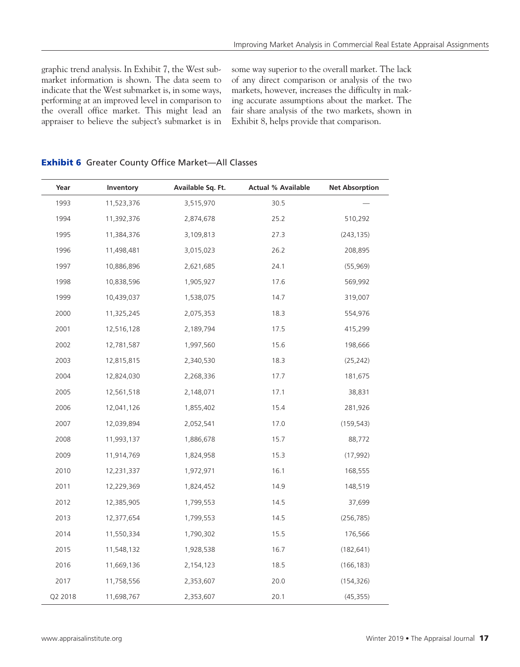graphic trend analysis. In Exhibit 7, the West submarket information is shown. The data seem to indicate that the West submarket is, in some ways, performing at an improved level in comparison to the overall office market. This might lead an appraiser to believe the subject's submarket is in some way superior to the overall market. The lack of any direct comparison or analysis of the two markets, however, increases the difficulty in making accurate assumptions about the market. The fair share analysis of the two markets, shown in Exhibit 8, helps provide that comparison.

| Year    | Inventory  | Available Sq. Ft. | <b>Actual % Available</b> | <b>Net Absorption</b> |
|---------|------------|-------------------|---------------------------|-----------------------|
| 1993    | 11,523,376 | 3,515,970         | 30.5                      |                       |
| 1994    | 11,392,376 | 2,874,678         | 25.2                      | 510,292               |
| 1995    | 11,384,376 | 3,109,813         | 27.3                      | (243, 135)            |
| 1996    | 11,498,481 | 3,015,023         | 26.2                      | 208,895               |
| 1997    | 10,886,896 | 2,621,685         | 24.1                      | (55,969)              |
| 1998    | 10,838,596 | 1,905,927         | 17.6                      | 569,992               |
| 1999    | 10,439,037 | 1,538,075         | 14.7                      | 319,007               |
| 2000    | 11,325,245 | 2,075,353         | 18.3                      | 554,976               |
| 2001    | 12,516,128 | 2,189,794         | 17.5                      | 415,299               |
| 2002    | 12,781,587 | 1,997,560         | 15.6                      | 198,666               |
| 2003    | 12,815,815 | 2,340,530         | 18.3                      | (25, 242)             |
| 2004    | 12,824,030 | 2,268,336         | 17.7                      | 181,675               |
| 2005    | 12,561,518 | 2,148,071         | 17.1                      | 38,831                |
| 2006    | 12,041,126 | 1,855,402         | 15.4                      | 281,926               |
| 2007    | 12,039,894 | 2,052,541         | 17.0                      | (159, 543)            |
| 2008    | 11,993,137 | 1,886,678         | 15.7                      | 88,772                |
| 2009    | 11,914,769 | 1,824,958         | 15.3                      | (17, 992)             |
| 2010    | 12,231,337 | 1,972,971         | 16.1                      | 168,555               |
| 2011    | 12,229,369 | 1,824,452         | 14.9                      | 148,519               |
| 2012    | 12,385,905 | 1,799,553         | 14.5                      | 37,699                |
| 2013    | 12,377,654 | 1,799,553         | 14.5                      | (256, 785)            |
| 2014    | 11,550,334 | 1,790,302         | 15.5                      | 176,566               |
| 2015    | 11,548,132 | 1,928,538         | 16.7                      | (182, 641)            |
| 2016    | 11,669,136 | 2,154,123         | 18.5                      | (166, 183)            |
| 2017    | 11,758,556 | 2,353,607         | 20.0                      | (154, 326)            |
| Q2 2018 | 11,698,767 | 2,353,607         | 20.1                      | (45, 355)             |

## Exhibit 6 Greater County Office Market—All Classes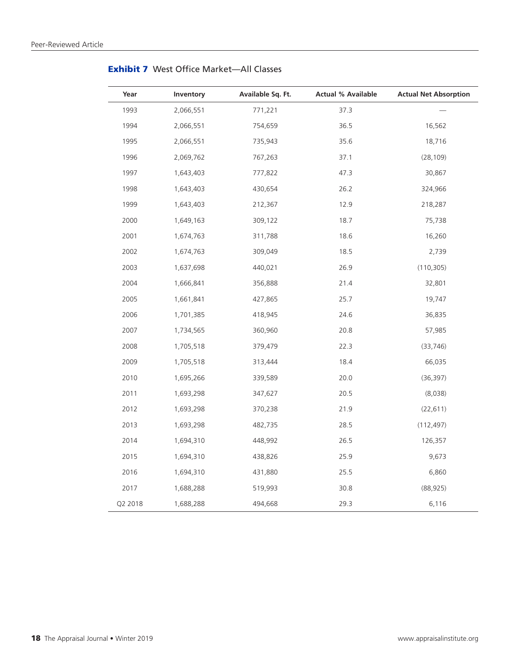| Year    | Inventory | Available Sq. Ft. | <b>Actual % Available</b> | <b>Actual Net Absorption</b> |
|---------|-----------|-------------------|---------------------------|------------------------------|
| 1993    | 2,066,551 | 771,221           | 37.3                      |                              |
| 1994    | 2,066,551 | 754,659           | 36.5                      | 16,562                       |
| 1995    | 2,066,551 | 735,943           | 35.6                      | 18,716                       |
| 1996    | 2,069,762 | 767,263           | 37.1                      | (28, 109)                    |
| 1997    | 1,643,403 | 777,822           | 47.3                      | 30,867                       |
| 1998    | 1,643,403 | 430,654           | 26.2                      | 324,966                      |
| 1999    | 1,643,403 | 212,367           | 12.9                      | 218,287                      |
| 2000    | 1,649,163 | 309,122           | 18.7                      | 75,738                       |
| 2001    | 1,674,763 | 311,788           | 18.6                      | 16,260                       |
| 2002    | 1,674,763 | 309,049           | 18.5                      | 2,739                        |
| 2003    | 1,637,698 | 440,021           | 26.9                      | (110, 305)                   |
| 2004    | 1,666,841 | 356,888           | 21.4                      | 32,801                       |
| 2005    | 1,661,841 | 427,865           | 25.7                      | 19,747                       |
| 2006    | 1,701,385 | 418,945           | 24.6                      | 36,835                       |
| 2007    | 1,734,565 | 360,960           | 20.8                      | 57,985                       |
| 2008    | 1,705,518 | 379,479           | 22.3                      | (33, 746)                    |
| 2009    | 1,705,518 | 313,444           | 18.4                      | 66,035                       |
| 2010    | 1,695,266 | 339,589           | 20.0                      | (36, 397)                    |
| 2011    | 1,693,298 | 347,627           | 20.5                      | (8,038)                      |
| 2012    | 1,693,298 | 370,238           | 21.9                      | (22, 611)                    |
| 2013    | 1,693,298 | 482,735           | 28.5                      | (112, 497)                   |
| 2014    | 1,694,310 | 448,992           | 26.5                      | 126,357                      |
| 2015    | 1,694,310 | 438,826           | 25.9                      | 9,673                        |
| 2016    | 1,694,310 | 431,880           | 25.5                      | 6,860                        |
| 2017    | 1,688,288 | 519,993           | 30.8                      | (88, 925)                    |
| Q2 2018 | 1,688,288 | 494,668           | 29.3                      | 6,116                        |

Exhibit 7 West Office Market—All Classes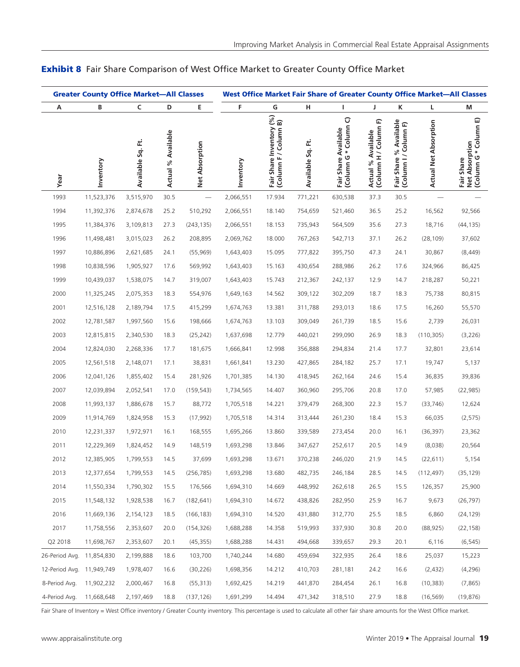|                           | <b>Greater County Office Market-All Classes</b> |                   |                    |                |           |                                                   |                   |                                                        |                                                |                                                 | West Office Market Fair Share of Greater County Office Market-All Classes |                                                       |
|---------------------------|-------------------------------------------------|-------------------|--------------------|----------------|-----------|---------------------------------------------------|-------------------|--------------------------------------------------------|------------------------------------------------|-------------------------------------------------|---------------------------------------------------------------------------|-------------------------------------------------------|
| А                         | В                                               | C                 | D                  | Ε              | F         | G                                                 | н                 | T                                                      | J                                              | Κ                                               | Г                                                                         | M                                                     |
| Year                      | Inventory                                       | Available Sq. Ft. | Actual % Available | Net Absorption | Inventory | Fair Share Inventory (%)<br>(Column F / Column B) | Available Sq. Ft. | $\sigma$<br>(Column G * Column<br>Fair Share Available | (Column H / Column F)<br>Available<br>Actual % | Fair Share % Available<br>(Column I / Column F) | <b>Actual Net Absorption</b>                                              | (Column G * Column E)<br>Net Absorption<br>Fair Share |
| 1993                      | 11,523,376                                      | 3,515,970         | 30.5               |                | 2,066,551 | 17.934                                            | 771,221           | 630,538                                                | 37.3                                           | 30.5                                            |                                                                           |                                                       |
| 1994                      | 11,392,376                                      | 2,874,678         | 25.2               | 510,292        | 2,066,551 | 18.140                                            | 754,659           | 521,460                                                | 36.5                                           | 25.2                                            | 16,562                                                                    | 92,566                                                |
| 1995                      | 11,384,376                                      | 3,109,813         | 27.3               | (243, 135)     | 2,066,551 | 18.153                                            | 735,943           | 564,509                                                | 35.6                                           | 27.3                                            | 18,716                                                                    | (44, 135)                                             |
| 1996                      | 11,498,481                                      | 3,015,023         | 26.2               | 208,895        | 2,069,762 | 18.000                                            | 767,263           | 542,713                                                | 37.1                                           | 26.2                                            | (28, 109)                                                                 | 37,602                                                |
| 1997                      | 10,886,896                                      | 2,621,685         | 24.1               | (55, 969)      | 1,643,403 | 15.095                                            | 777,822           | 395,750                                                | 47.3                                           | 24.1                                            | 30,867                                                                    | (8,449)                                               |
| 1998                      | 10,838,596                                      | 1,905,927         | 17.6               | 569,992        | 1,643,403 | 15.163                                            | 430,654           | 288,986                                                | 26.2                                           | 17.6                                            | 324,966                                                                   | 86,425                                                |
| 1999                      | 10,439,037                                      | 1,538,075         | 14.7               | 319,007        | 1,643,403 | 15.743                                            | 212,367           | 242,137                                                | 12.9                                           | 14.7                                            | 218,287                                                                   | 50,221                                                |
| 2000                      | 11,325,245                                      | 2,075,353         | 18.3               | 554,976        | 1,649,163 | 14.562                                            | 309,122           | 302,209                                                | 18.7                                           | 18.3                                            | 75,738                                                                    | 80,815                                                |
| 2001                      | 12,516,128                                      | 2,189,794         | 17.5               | 415,299        | 1,674,763 | 13.381                                            | 311,788           | 293,013                                                | 18.6                                           | 17.5                                            | 16,260                                                                    | 55,570                                                |
| 2002                      | 12,781,587                                      | 1,997,560         | 15.6               | 198,666        | 1,674,763 | 13.103                                            | 309,049           | 261,739                                                | 18.5                                           | 15.6                                            | 2,739                                                                     | 26,031                                                |
| 2003                      | 12,815,815                                      | 2,340,530         | 18.3               | (25, 242)      | 1,637,698 | 12.779                                            | 440,021           | 299,090                                                | 26.9                                           | 18.3                                            | (110, 305)                                                                | (3,226)                                               |
| 2004                      | 12,824,030                                      | 2,268,336         | 17.7               | 181,675        | 1,666,841 | 12.998                                            | 356,888           | 294,834                                                | 21.4                                           | 17.7                                            | 32,801                                                                    | 23,614                                                |
| 2005                      | 12,561,518                                      | 2,148,071         | 17.1               | 38,831         | 1,661,841 | 13.230                                            | 427,865           | 284,182                                                | 25.7                                           | 17.1                                            | 19,747                                                                    | 5,137                                                 |
| 2006                      | 12,041,126                                      | 1,855,402         | 15.4               | 281,926        | 1,701,385 | 14.130                                            | 418,945           | 262,164                                                | 24.6                                           | 15.4                                            | 36,835                                                                    | 39,836                                                |
| 2007                      | 12,039,894                                      | 2,052,541         | 17.0               | (159, 543)     | 1,734,565 | 14.407                                            | 360,960           | 295,706                                                | 20.8                                           | 17.0                                            | 57,985                                                                    | (22, 985)                                             |
| 2008                      | 11,993,137                                      | 1,886,678         | 15.7               | 88,772         | 1,705,518 | 14.221                                            | 379,479           | 268,300                                                | 22.3                                           | 15.7                                            | (33, 746)                                                                 | 12,624                                                |
| 2009                      | 11,914,769                                      | 1,824,958         | 15.3               | (17, 992)      | 1,705,518 | 14.314                                            | 313,444           | 261,230                                                | 18.4                                           | 15.3                                            | 66,035                                                                    | (2, 575)                                              |
| 2010                      | 12,231,337                                      | 1,972,971         | 16.1               | 168,555        | 1,695,266 | 13.860                                            | 339,589           | 273,454                                                | 20.0                                           | 16.1                                            | (36, 397)                                                                 | 23,362                                                |
| 2011                      | 12,229,369                                      | 1,824,452         | 14.9               | 148,519        | 1,693,298 | 13.846                                            | 347,627           | 252,617                                                | 20.5                                           | 14.9                                            | (8,038)                                                                   | 20,564                                                |
| 2012                      | 12,385,905                                      | 1,799,553         | 14.5               | 37,699         | 1,693,298 | 13.671                                            | 370,238           | 246,020                                                | 21.9                                           | 14.5                                            | (22, 611)                                                                 | 5,154                                                 |
| 2013                      | 12,377,654                                      | 1,799,553         | 14.5               | (256, 785)     | 1,693,298 | 13.680                                            | 482,735           | 246,184                                                | 28.5                                           | 14.5                                            | (112,497)                                                                 | (35, 129)                                             |
| 2014                      | 11,550,334                                      | 1,790,302         | 15.5               | 176,566        | 1,694,310 | 14.669                                            | 448,992           | 262,618                                                | 26.5                                           | 15.5                                            | 126,357                                                                   | 25,900                                                |
| 2015                      | 11,548,132                                      | 1,928,538         | 16.7               | (182, 641)     | 1,694,310 | 14.672                                            | 438,826           | 282,950                                                | 25.9                                           | 16.7                                            | 9,673                                                                     | (26, 797)                                             |
| 2016                      | 11,669,136                                      | 2,154,123         | 18.5               | (166, 183)     | 1,694,310 | 14.520                                            | 431,880           | 312,770                                                | 25.5                                           | 18.5                                            | 6,860                                                                     | (24, 129)                                             |
| 2017                      | 11,758,556                                      | 2,353,607         | 20.0               | (154, 326)     | 1,688,288 | 14.358                                            | 519,993           | 337,930                                                | 30.8                                           | 20.0                                            | (88, 925)                                                                 | (22, 158)                                             |
| Q2 2018                   | 11,698,767                                      | 2,353,607         | 20.1               | (45,355)       | 1,688,288 | 14.431                                            | 494,668           | 339,657                                                | 29.3                                           | 20.1                                            | 6,116                                                                     | (6, 545)                                              |
| 26-Period Avg.            | 11,854,830                                      | 2,199,888         | 18.6               | 103,700        | 1,740,244 | 14.680                                            | 459,694           | 322,935                                                | 26.4                                           | 18.6                                            | 25,037                                                                    | 15,223                                                |
| 12-Period Avg. 11,949,749 |                                                 | 1,978,407         | 16.6               | (30, 226)      | 1,698,356 | 14.212                                            | 410,703           | 281,181                                                | 24.2                                           | 16.6                                            | (2,432)                                                                   | (4, 296)                                              |
| 8-Period Avg.             | 11,902,232                                      | 2,000,467         | 16.8               | (55, 313)      | 1,692,425 | 14.219                                            | 441,870           | 284,454                                                | 26.1                                           | 16.8                                            | (10, 383)                                                                 | (7, 865)                                              |
| 4-Period Avg.             | 11,668,648                                      | 2,197,469         | 18.8               | (137, 126)     | 1,691,299 | 14.494                                            | 471,342           | 318,510                                                | 27.9                                           | 18.8                                            | (16, 569)                                                                 | (19, 876)                                             |

## **Exhibit 8** Fair Share Comparison of West Office Market to Greater County Office Market

Fair Share of Inventory = West Office inventory / Greater County inventory. This percentage is used to calculate all other fair share amounts for the West Office market.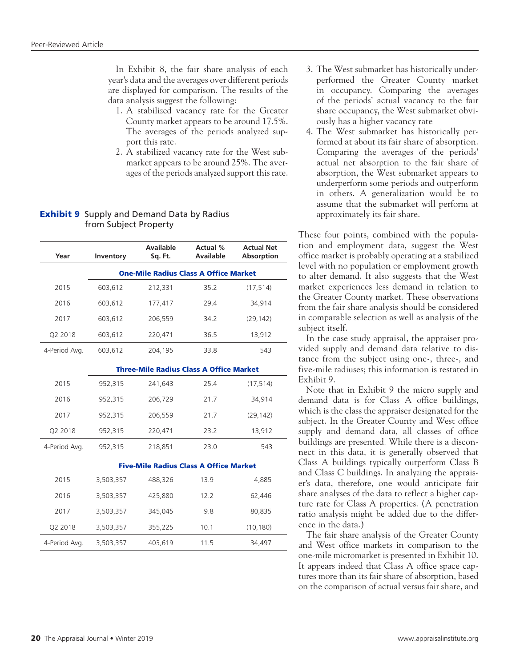In Exhibit 8, the fair share analysis of each year's data and the averages over different periods are displayed for comparison. The results of the data analysis suggest the following:

- 1. A stabilized vacancy rate for the Greater County market appears to be around 17.5%. The averages of the periods analyzed support this rate.
- 2. A stabilized vacancy rate for the West submarket appears to be around 25%. The averages of the periods analyzed support this rate.

## **Exhibit 9** Supply and Demand Data by Radius from Subject Property

| Year          | Inventory | <b>Available</b><br>Sq. Ft.                    | Actual %<br><b>Available</b> | <b>Actual Net</b><br>Absorption |
|---------------|-----------|------------------------------------------------|------------------------------|---------------------------------|
|               |           | <b>One-Mile Radius Class A Office Market</b>   |                              |                                 |
| 2015          | 603,612   | 212,331                                        | 35.2                         | (17, 514)                       |
| 2016          | 603,612   | 177,417                                        | 29.4                         | 34,914                          |
| 2017          | 603,612   | 206,559                                        | 34.2                         | (29, 142)                       |
| Q2 2018       | 603,612   | 220,471                                        | 36.5                         | 13,912                          |
| 4-Period Avg. | 603,612   | 204,195                                        | 33.8                         | 543                             |
|               |           | <b>Three-Mile Radius Class A Office Market</b> |                              |                                 |
| 2015          | 952,315   | 241,643                                        | 25.4                         | (17, 514)                       |
| 2016          | 952,315   | 206,729                                        | 21.7                         | 34,914                          |
| 2017          | 952,315   | 206,559                                        | 21.7                         | (29, 142)                       |
| Q2 2018       | 952,315   | 220,471                                        | 23.2                         | 13,912                          |
| 4-Period Avg. | 952,315   | 218,851                                        | 23.0                         | 543                             |
|               |           | <b>Five-Mile Radius Class A Office Market</b>  |                              |                                 |
| 2015          | 3,503,357 | 488,326                                        | 13.9                         | 4,885                           |
| 2016          | 3,503,357 | 425,880                                        | 12.2                         | 62,446                          |
| 2017          | 3,503,357 | 345,045                                        | 9.8                          | 80,835                          |
| Q2 2018       | 3,503,357 | 355,225                                        | 10.1                         | (10, 180)                       |
| 4-Period Avg. | 3,503,357 | 403,619                                        | 11.5                         | 34,497                          |

- 3. The West submarket has historically underperformed the Greater County market in occupancy. Comparing the averages of the periods' actual vacancy to the fair share occupancy, the West submarket obviously has a higher vacancy rate
- 4. The West submarket has historically performed at about its fair share of absorption. Comparing the averages of the periods' actual net absorption to the fair share of absorption, the West submarket appears to underperform some periods and outperform in others. A generalization would be to assume that the submarket will perform at approximately its fair share.

These four points, combined with the population and employment data, suggest the West office market is probably operating at a stabilized level with no population or employment growth to alter demand. It also suggests that the West market experiences less demand in relation to the Greater County market. These observations from the fair share analysis should be considered in comparable selection as well as analysis of the subject itself.

In the case study appraisal, the appraiser provided supply and demand data relative to distance from the subject using one-, three-, and five-mile radiuses; this information is restated in Exhibit 9.

Note that in Exhibit 9 the micro supply and demand data is for Class A office buildings, which is the class the appraiser designated for the subject. In the Greater County and West office supply and demand data, all classes of office buildings are presented. While there is a disconnect in this data, it is generally observed that Class A buildings typically outperform Class B and Class C buildings. In analyzing the appraiser's data, therefore, one would anticipate fair share analyses of the data to reflect a higher capture rate for Class A properties. (A penetration ratio analysis might be added due to the difference in the data.)

The fair share analysis of the Greater County and West office markets in comparison to the one-mile micromarket is presented in Exhibit 10. It appears indeed that Class A office space captures more than its fair share of absorption, based on the comparison of actual versus fair share, and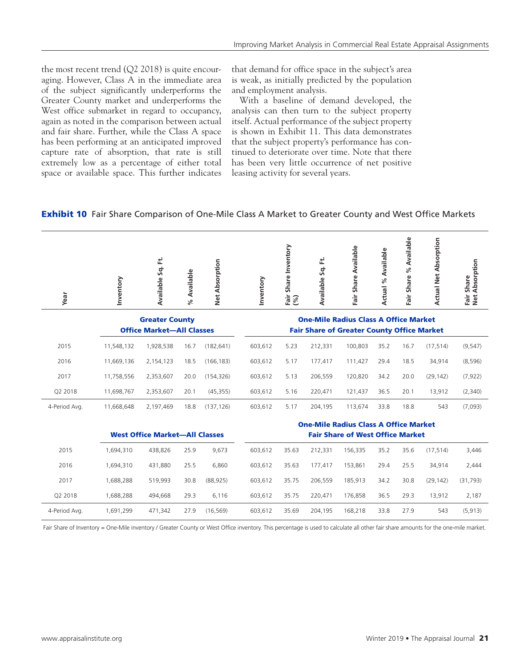the most recent trend  $(Q2 2018)$  is quite encouraging. However, Class A in the immediate area of the subject significantly underperforms the Greater County market and underperforms the West office submarket in regard to occupancy, again as noted in the comparison between actual and fair share. Further, while the Class A space has been performing at an anticipated improved capture rate of absorption, that rate is still extremely low as a percentage of either total space or available space. This further indicates that demand for office space in the subject's area is weak, as initially predicted by the population and employment analysis.

With a baseline of demand developed, the analysis can then turn to the subject property itself. Actual performance of the subject property is shown in Exhibit 11. This data demonstrates that the subject property's performance has continued to deteriorate over time. Note that there has been very little occurrence of net positive leasing activity for several years.

## **Exhibit 10** Fair Share Comparison of One-Mile Class A Market to Greater County and West Office Markets

| Year                                                      | Inventory  | Available Sq. Ft.                     | Available | Net Absorption | Inventory | Share Inventory<br>$F\ddot{a}$ | Available Sq. Ft.                                                                                 | Fair Share Available                         | Available<br>$\%$<br>Actual | Available<br>್ನೇ<br>Share<br>Fair | <b>Actual Net Absorption</b> | Absorption<br>Fair Share<br>Net Absorp |
|-----------------------------------------------------------|------------|---------------------------------------|-----------|----------------|-----------|--------------------------------|---------------------------------------------------------------------------------------------------|----------------------------------------------|-----------------------------|-----------------------------------|------------------------------|----------------------------------------|
|                                                           |            |                                       | ৼ         |                |           |                                |                                                                                                   |                                              |                             |                                   |                              |                                        |
| <b>Greater County</b><br><b>Office Market-All Classes</b> |            |                                       |           |                |           |                                | <b>One-Mile Radius Class A Office Market</b><br><b>Fair Share of Greater County Office Market</b> |                                              |                             |                                   |                              |                                        |
| 2015                                                      | 11,548,132 | 1,928,538                             | 16.7      | (182, 641)     | 603,612   | 5.23                           | 212,331                                                                                           | 100,803                                      | 35.2                        | 16.7                              | (17, 514)                    | (9, 547)                               |
|                                                           |            |                                       |           |                |           |                                |                                                                                                   |                                              |                             |                                   |                              |                                        |
| 2016                                                      | 11,669,136 | 2,154,123                             | 18.5      | (166, 183)     | 603,612   | 5.17                           | 177,417                                                                                           | 111,427                                      | 29.4                        | 18.5                              | 34,914                       | (8,596)                                |
| 2017                                                      | 11,758,556 | 2,353,607                             | 20.0      | (154, 326)     | 603,612   | 5.13                           | 206,559                                                                                           | 120,820                                      | 34.2                        | 20.0                              | (29, 142)                    | (7, 922)                               |
| Q2 2018                                                   | 11,698,767 | 2,353,607                             | 20.1      | (45, 355)      | 603,612   | 5.16                           | 220,471                                                                                           | 121,437                                      | 36.5                        | 20.1                              | 13,912                       | (2,340)                                |
| 4-Period Avg.                                             | 11,668,648 | 2,197,469                             | 18.8      | (137, 126)     | 603,612   | 5.17                           | 204,195                                                                                           | 113,674                                      | 33.8                        | 18.8                              | 543                          | (7,093)                                |
|                                                           |            |                                       |           |                |           |                                |                                                                                                   | <b>One-Mile Radius Class A Office Market</b> |                             |                                   |                              |                                        |
|                                                           |            | <b>West Office Market-All Classes</b> |           |                |           |                                |                                                                                                   | <b>Fair Share of West Office Market</b>      |                             |                                   |                              |                                        |
| 2015                                                      | 1,694,310  | 438,826                               | 25.9      | 9,673          | 603,612   | 35.63                          | 212,331                                                                                           | 156,335                                      | 35.2                        | 35.6                              | (17, 514)                    | 3,446                                  |
| 2016                                                      | 1,694,310  | 431,880                               | 25.5      | 6,860          | 603,612   | 35.63                          | 177,417                                                                                           | 153,861                                      | 29.4                        | 25.5                              | 34,914                       | 2,444                                  |
| 2017                                                      | 1,688,288  | 519,993                               | 30.8      | (88, 925)      | 603,612   | 35.75                          | 206,559                                                                                           | 185,913                                      | 34.2                        | 30.8                              | (29, 142)                    | (31, 793)                              |

4-Period Avg. 1,691,299 471,342 27.9 (16,569) 603,612 35.69 204,195 168,218 33.8 27.9 543 (5,913) Fair Share of Inventory = One-Mile inventory / Greater County or West Office inventory. This percentage is used to calculate all other fair share amounts for the one-mile market.

Q2 2018 1,688,288 494,668 29.3 6,116 603,612 35.75 220,471 176,858 36.5 29.3 13,912 2,187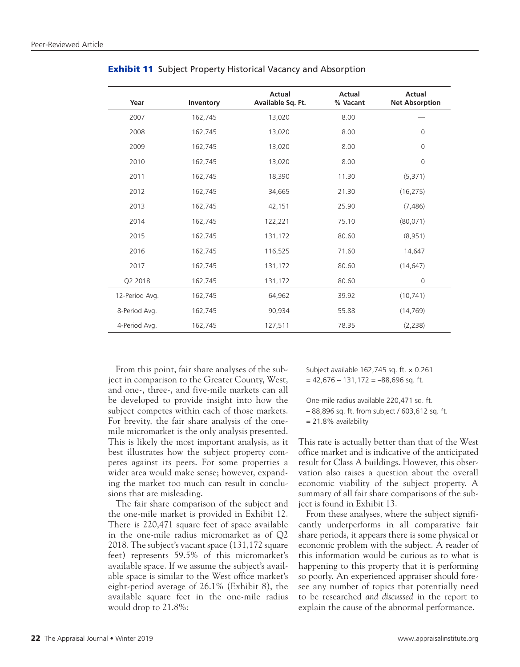| Year           | Inventory | <b>Actual</b><br>Available Sq. Ft. | <b>Actual</b><br>% Vacant | <b>Actual</b><br><b>Net Absorption</b> |
|----------------|-----------|------------------------------------|---------------------------|----------------------------------------|
| 2007           | 162,745   | 13,020                             | 8.00                      |                                        |
| 2008           | 162,745   | 13,020                             | 8.00                      | $\mathbf 0$                            |
| 2009           | 162,745   | 13,020                             | 8.00                      | $\mathbf 0$                            |
| 2010           | 162,745   | 13,020                             | 8.00                      | $\mathbf 0$                            |
| 2011           | 162,745   | 18,390                             | 11.30                     | (5, 371)                               |
| 2012           | 162,745   | 34,665                             | 21.30                     | (16, 275)                              |
| 2013           | 162,745   | 42,151                             | 25.90                     | (7, 486)                               |
| 2014           | 162,745   | 122,221                            | 75.10                     | (80,071)                               |
| 2015           | 162,745   | 131,172                            | 80.60                     | (8,951)                                |
| 2016           | 162,745   | 116,525                            | 71.60                     | 14,647                                 |
| 2017           | 162,745   | 131,172                            | 80.60                     | (14, 647)                              |
| Q2 2018        | 162,745   | 131,172                            | 80.60                     | $\mathbf 0$                            |
| 12-Period Avg. | 162,745   | 64,962                             | 39.92                     | (10, 741)                              |
| 8-Period Avg.  | 162,745   | 90,934                             | 55.88                     | (14, 769)                              |
| 4-Period Avg.  | 162,745   | 127,511                            | 78.35                     | (2,238)                                |

**Exhibit 11** Subject Property Historical Vacancy and Absorption

From this point, fair share analyses of the subject in comparison to the Greater County, West, and one-, three-, and five-mile markets can all be developed to provide insight into how the subject competes within each of those markets. For brevity, the fair share analysis of the onemile micromarket is the only analysis presented. This is likely the most important analysis, as it best illustrates how the subject property competes against its peers. For some properties a wider area would make sense; however, expanding the market too much can result in conclusions that are misleading.

The fair share comparison of the subject and the one-mile market is provided in Exhibit 12. There is 220,471 square feet of space available in the one-mile radius micromarket as of Q2 2018. The subject's vacant space (131,172 square feet) represents 59.5% of this micromarket's available space. If we assume the subject's available space is similar to the West office market's eight-period average of 26.1% (Exhibit 8), the available square feet in the one-mile radius would drop to 21.8%:

Subject available 162,745 sq. ft. x 0.261  $= 42,676 - 131,172 = -88,696$  sq. ft.

One-mile radius available 220,471 sq. ft.

– 88,896 sq. ft. from subject / 603,612 sq. ft.

= 21.8% availability

This rate is actually better than that of the West office market and is indicative of the anticipated result for Class A buildings. However, this observation also raises a question about the overall economic viability of the subject property. A summary of all fair share comparisons of the subject is found in Exhibit 13.

From these analyses, where the subject significantly underperforms in all comparative fair share periods, it appears there is some physical or economic problem with the subject. A reader of this information would be curious as to what is happening to this property that it is performing so poorly. An experienced appraiser should foresee any number of topics that potentially need to be researched *and discussed* in the report to explain the cause of the abnormal performance.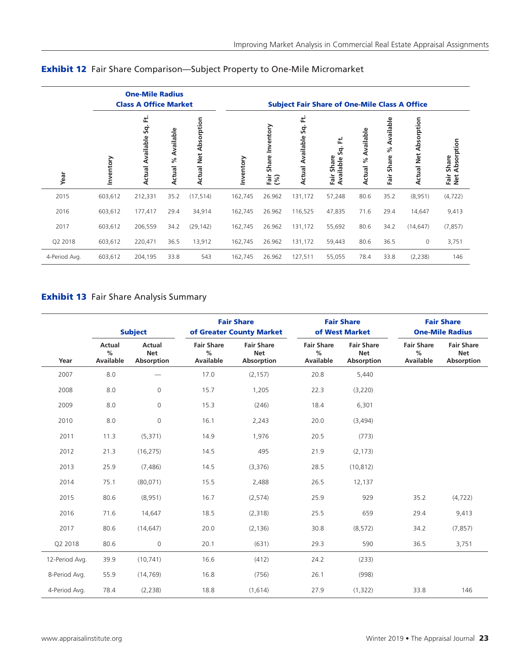|               | <b>One-Mile Radius</b><br><b>Class A Office Market</b> |                                    |                                |                               | <b>Subject Fair Share of One-Mile Class A Office</b> |                                   |                                     |                                       |                       |                                    |                                 |                                    |
|---------------|--------------------------------------------------------|------------------------------------|--------------------------------|-------------------------------|------------------------------------------------------|-----------------------------------|-------------------------------------|---------------------------------------|-----------------------|------------------------------------|---------------------------------|------------------------------------|
| Year          | Inventory                                              | 로<br>Š.<br><b>Actual Available</b> | Available<br>್ನೇ<br>ctual<br>∢ | Absorption<br>Net<br>Actual I | Inventory                                            | Inventory<br>Share<br>Fair<br>(%) | 로<br>Sq.<br><b>Actual Available</b> | ť<br>Š.<br>Share<br>Available<br>Fair | Available<br>Actual % | Available<br>$\%$<br>Share<br>Fair | Absorption<br><b>Actual Net</b> | Absorption<br>Share<br>Fair<br>Net |
| 2015          | 603,612                                                | 212,331                            | 35.2                           | (17, 514)                     | 162,745                                              | 26.962                            | 131,172                             | 57,248                                | 80.6                  | 35.2                               | (8,951)                         | (4, 722)                           |
| 2016          | 603,612                                                | 177,417                            | 29.4                           | 34,914                        | 162,745                                              | 26.962                            | 116,525                             | 47,835                                | 71.6                  | 29.4                               | 14,647                          | 9,413                              |
| 2017          | 603,612                                                | 206,559                            | 34.2                           | (29, 142)                     | 162,745                                              | 26.962                            | 131,172                             | 55,692                                | 80.6                  | 34.2                               | (14, 647)                       | (7, 857)                           |
| Q2 2018       | 603,612                                                | 220,471                            | 36.5                           | 13,912                        | 162,745                                              | 26.962                            | 131,172                             | 59,443                                | 80.6                  | 36.5                               | $\mathbf 0$                     | 3,751                              |
| 4-Period Avg. | 603,612                                                | 204,195                            | 33.8                           | 543                           | 162,745                                              | 26.962                            | 127,511                             | 55,055                                | 78.4                  | 33.8                               | (2, 238)                        | 146                                |

# Exhibit 12 Fair Share Comparison—Subject Property to One-Mile Micromarket

# **Exhibit 13** Fair Share Analysis Summary

|                | <b>Subject</b>           |                                    | <b>Fair Share</b><br>of Greater County Market |                                                      |                                               | <b>Fair Share</b><br>of West Market           | <b>Fair Share</b><br><b>One-Mile Radius</b> |                                               |  |
|----------------|--------------------------|------------------------------------|-----------------------------------------------|------------------------------------------------------|-----------------------------------------------|-----------------------------------------------|---------------------------------------------|-----------------------------------------------|--|
| Year           | Actual<br>%<br>Available | Actual<br><b>Net</b><br>Absorption | <b>Fair Share</b><br>%<br><b>Available</b>    | <b>Fair Share</b><br><b>Net</b><br><b>Absorption</b> | <b>Fair Share</b><br>$\%$<br><b>Available</b> | <b>Fair Share</b><br><b>Net</b><br>Absorption | <b>Fair Share</b><br>%<br>Available         | <b>Fair Share</b><br><b>Net</b><br>Absorption |  |
| 2007           | 8.0                      |                                    | 17.0                                          | (2, 157)                                             | 20.8                                          | 5,440                                         |                                             |                                               |  |
| 2008           | 8.0                      | $\mathbf{O}$                       | 15.7                                          | 1,205                                                | 22.3                                          | (3,220)                                       |                                             |                                               |  |
| 2009           | 8.0                      | $\circ$                            | 15.3                                          | (246)                                                | 18.4                                          | 6,301                                         |                                             |                                               |  |
| 2010           | $8.0\,$                  | $\mathbf{O}$                       | 16.1                                          | 2,243                                                | 20.0                                          | (3,494)                                       |                                             |                                               |  |
| 2011           | 11.3                     | (5,371)                            | 14.9                                          | 1,976                                                | 20.5                                          | (773)                                         |                                             |                                               |  |
| 2012           | 21.3                     | (16, 275)                          | 14.5                                          | 495                                                  | 21.9                                          | (2, 173)                                      |                                             |                                               |  |
| 2013           | 25.9                     | (7, 486)                           | 14.5                                          | (3,376)                                              | 28.5                                          | (10, 812)                                     |                                             |                                               |  |
| 2014           | 75.1                     | (80,071)                           | 15.5                                          | 2,488                                                | 26.5                                          | 12,137                                        |                                             |                                               |  |
| 2015           | 80.6                     | (8,951)                            | 16.7                                          | (2,574)                                              | 25.9                                          | 929                                           | 35.2                                        | (4, 722)                                      |  |
| 2016           | 71.6                     | 14,647                             | 18.5                                          | (2,318)                                              | 25.5                                          | 659                                           | 29.4                                        | 9,413                                         |  |
| 2017           | 80.6                     | (14, 647)                          | 20.0                                          | (2, 136)                                             | 30.8                                          | (8,572)                                       | 34.2                                        | (7, 857)                                      |  |
| Q2 2018        | 80.6                     | $\circ$                            | 20.1                                          | (631)                                                | 29.3                                          | 590                                           | 36.5                                        | 3,751                                         |  |
| 12-Period Avg. | 39.9                     | (10, 741)                          | 16.6                                          | (412)                                                | 24.2                                          | (233)                                         |                                             |                                               |  |
| 8-Period Avg.  | 55.9                     | (14, 769)                          | 16.8                                          | (756)                                                | 26.1                                          | (998)                                         |                                             |                                               |  |
| 4-Period Avg.  | 78.4                     | (2, 238)                           | 18.8                                          | (1,614)                                              | 27.9                                          | (1,322)                                       | 33.8                                        | 146                                           |  |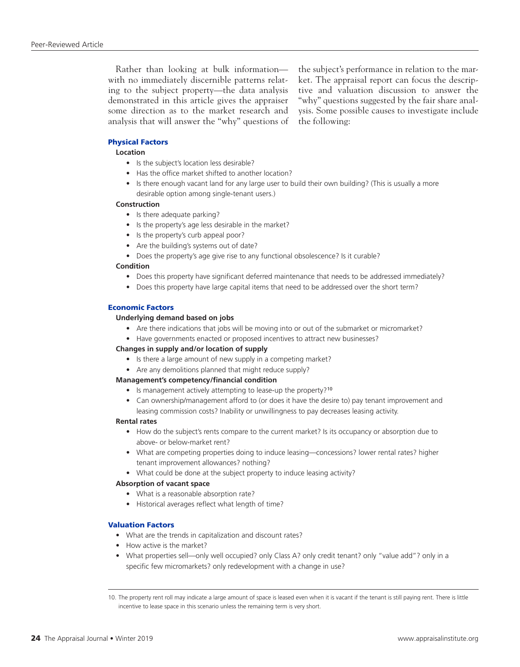Rather than looking at bulk information with no immediately discernible patterns relating to the subject property—the data analysis demonstrated in this article gives the appraiser some direction as to the market research and analysis that will answer the "why" questions of the subject's performance in relation to the market. The appraisal report can focus the descriptive and valuation discussion to answer the "why" questions suggested by the fair share analysis. Some possible causes to investigate include the following:

## Physical Factors

## **Location**

- Is the subject's location less desirable?
- Has the office market shifted to another location?
- Is there enough vacant land for any large user to build their own building? (This is usually a more desirable option among single-tenant users.)

#### **Construction**

- Is there adequate parking?
- Is the property's age less desirable in the market?
- Is the property's curb appeal poor?
- Are the building's systems out of date?
- Does the property's age give rise to any functional obsolescence? Is it curable?

#### **Condition**

- Does this property have significant deferred maintenance that needs to be addressed immediately?
- Does this property have large capital items that need to be addressed over the short term?

## Economic Factors

## **Underlying demand based on jobs**

- Are there indications that jobs will be moving into or out of the submarket or micromarket?
- Have governments enacted or proposed incentives to attract new businesses?

## **Changes in supply and/or location of supply**

- Is there a large amount of new supply in a competing market?
- Are any demolitions planned that might reduce supply?

#### **Management's competency/financial condition**

- Is management actively attempting to lease-up the property?<sup>10</sup>
- Can ownership/management afford to (or does it have the desire to) pay tenant improvement and leasing commission costs? Inability or unwillingness to pay decreases leasing activity.

#### **Rental rates**

- How do the subject's rents compare to the current market? Is its occupancy or absorption due to above- or below-market rent?
- What are competing properties doing to induce leasing—concessions? lower rental rates? higher tenant improvement allowances? nothing?
- What could be done at the subject property to induce leasing activity?

#### **Absorption of vacant space**

- What is a reasonable absorption rate?
- Historical averages reflect what length of time?

## Valuation Factors

- What are the trends in capitalization and discount rates?
- How active is the market?
- What properties sell—only well occupied? only Class A? only credit tenant? only "value add"? only in a specific few micromarkets? only redevelopment with a change in use?

<sup>10.</sup> The property rent roll may indicate a large amount of space is leased even when it is vacant if the tenant is still paying rent. There is little incentive to lease space in this scenario unless the remaining term is very short.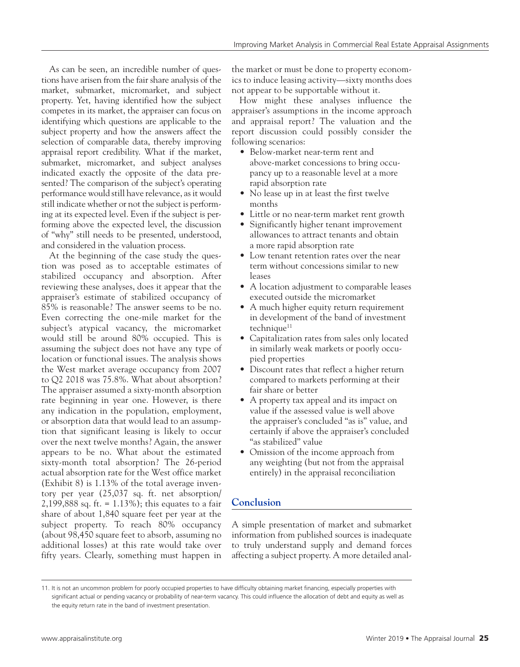As can be seen, an incredible number of questions have arisen from the fair share analysis of the market, submarket, micromarket, and subject property. Yet, having identified how the subject competes in its market, the appraiser can focus on identifying which questions are applicable to the subject property and how the answers affect the selection of comparable data, thereby improving appraisal report credibility. What if the market, submarket, micromarket, and subject analyses indicated exactly the opposite of the data presented? The comparison of the subject's operating performance would still have relevance, as it would still indicate whether or not the subject is performing at its expected level. Even if the subject is performing above the expected level, the discussion of "why" still needs to be presented, understood, and considered in the valuation process.

At the beginning of the case study the question was posed as to acceptable estimates of stabilized occupancy and absorption. After reviewing these analyses, does it appear that the appraiser's estimate of stabilized occupancy of 85% is reasonable? The answer seems to be no. Even correcting the one-mile market for the subject's atypical vacancy, the micromarket would still be around 80% occupied. This is assuming the subject does not have any type of location or functional issues. The analysis shows the West market average occupancy from 2007 to Q2 2018 was 75.8%. What about absorption? The appraiser assumed a sixty-month absorption rate beginning in year one. However, is there any indication in the population, employment, or absorption data that would lead to an assumption that significant leasing is likely to occur over the next twelve months? Again, the answer appears to be no. What about the estimated sixty-month total absorption? The 26-period actual absorption rate for the West office market (Exhibit 8) is 1.13% of the total average inventory per year (25,037 sq. ft. net absorption/ 2,199,888 sq. ft. = 1.13%); this equates to a fair share of about 1,840 square feet per year at the subject property. To reach 80% occupancy (about 98,450 square feet to absorb, assuming no additional losses) at this rate would take over fifty years. Clearly, something must happen in

the market or must be done to property economics to induce leasing activity—sixty months does not appear to be supportable without it.

How might these analyses influence the appraiser's assumptions in the income approach and appraisal report? The valuation and the report discussion could possibly consider the following scenarios:

- Below-market near-term rent and above-market concessions to bring occupancy up to a reasonable level at a more rapid absorption rate
- No lease up in at least the first twelve months
- Little or no near-term market rent growth
- Significantly higher tenant improvement allowances to attract tenants and obtain a more rapid absorption rate
- Low tenant retention rates over the near term without concessions similar to new leases
- A location adjustment to comparable leases executed outside the micromarket
- A much higher equity return requirement in development of the band of investment technique<sup>11</sup>
- Capitalization rates from sales only located in similarly weak markets or poorly occupied properties
- Discount rates that reflect a higher return compared to markets performing at their fair share or better
- A property tax appeal and its impact on value if the assessed value is well above the appraiser's concluded "as is" value, and certainly if above the appraiser's concluded "as stabilized" value
- Omission of the income approach from any weighting (but not from the appraisal entirely) in the appraisal reconciliation

# **Conclusion**

A simple presentation of market and submarket information from published sources is inadequate to truly understand supply and demand forces affecting a subject property. A more detailed anal-

<sup>11.</sup> It is not an uncommon problem for poorly occupied properties to have difficulty obtaining market financing, especially properties with significant actual or pending vacancy or probability of near-term vacancy. This could influence the allocation of debt and equity as well as the equity return rate in the band of investment presentation.